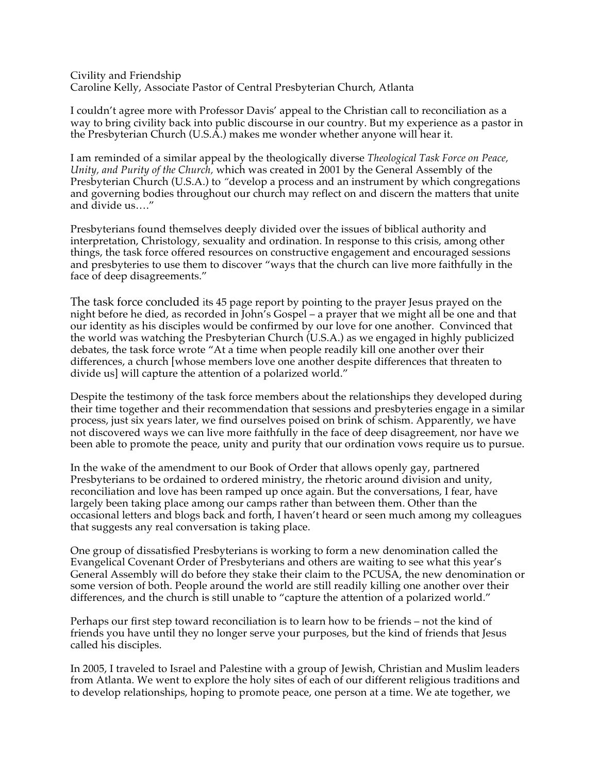## Civility and Friendship Caroline Kelly, Associate Pastor of Central Presbyterian Church, Atlanta

I couldn't agree more with Professor Davis' appeal to the Christian call to reconciliation as a way to bring civility back into public discourse in our country. But my experience as a pastor in the Presbyterian Church (U.S.A.) makes me wonder whether anyone will hear it.

I am reminded of a similar appeal by the theologically diverse *Theological Task Force on Peace, Unity, and Purity of the Church,* which was created in 2001 by the General Assembly of the Presbyterian Church (U.S.A.) to *"*develop a process and an instrument by which congregations and governing bodies throughout our church may reflect on and discern the matters that unite and divide us…."

Presbyterians found themselves deeply divided over the issues of biblical authority and interpretation, Christology, sexuality and ordination. In response to this crisis, among other things, the task force offered resources on constructive engagement and encouraged sessions and presbyteries to use them to discover "ways that the church can live more faithfully in the face of deep disagreements."

The task force concluded its 45 page report by pointing to the prayer Jesus prayed on the night before he died, as recorded in John's Gospel – a prayer that we might all be one and that our identity as his disciples would be confirmed by our love for one another. Convinced that the world was watching the Presbyterian Church (U.S.A.) as we engaged in highly publicized debates, the task force wrote "At a time when people readily kill one another over their differences, a church [whose members love one another despite differences that threaten to divide us] will capture the attention of a polarized world."

Despite the testimony of the task force members about the relationships they developed during their time together and their recommendation that sessions and presbyteries engage in a similar process, just six years later, we find ourselves poised on brink of schism. Apparently, we have not discovered ways we can live more faithfully in the face of deep disagreement, nor have we been able to promote the peace, unity and purity that our ordination vows require us to pursue.

In the wake of the amendment to our Book of Order that allows openly gay, partnered Presbyterians to be ordained to ordered ministry, the rhetoric around division and unity, reconciliation and love has been ramped up once again. But the conversations, I fear, have largely been taking place among our camps rather than between them. Other than the occasional letters and blogs back and forth, I haven't heard or seen much among my colleagues that suggests any real conversation is taking place.

One group of dissatisfied Presbyterians is working to form a new denomination called the Evangelical Covenant Order of Presbyterians and others are waiting to see what this year's General Assembly will do before they stake their claim to the PCUSA, the new denomination or some version of both. People around the world are still readily killing one another over their differences, and the church is still unable to "capture the attention of a polarized world."

Perhaps our first step toward reconciliation is to learn how to be friends – not the kind of friends you have until they no longer serve your purposes, but the kind of friends that Jesus called his disciples.

In 2005, I traveled to Israel and Palestine with a group of Jewish, Christian and Muslim leaders from Atlanta. We went to explore the holy sites of each of our different religious traditions and to develop relationships, hoping to promote peace, one person at a time. We ate together, we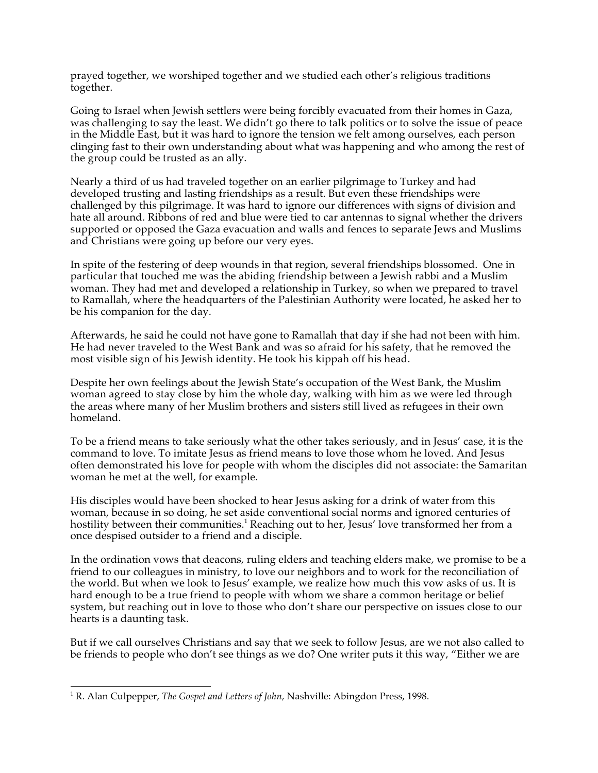prayed together, we worshiped together and we studied each other's religious traditions together.

Going to Israel when Jewish settlers were being forcibly evacuated from their homes in Gaza, was challenging to say the least. We didn't go there to talk politics or to solve the issue of peace in the Middle East, but it was hard to ignore the tension we felt among ourselves, each person clinging fast to their own understanding about what was happening and who among the rest of the group could be trusted as an ally.

Nearly a third of us had traveled together on an earlier pilgrimage to Turkey and had developed trusting and lasting friendships as a result. But even these friendships were challenged by this pilgrimage. It was hard to ignore our differences with signs of division and hate all around. Ribbons of red and blue were tied to car antennas to signal whether the drivers supported or opposed the Gaza evacuation and walls and fences to separate Jews and Muslims and Christians were going up before our very eyes.

In spite of the festering of deep wounds in that region, several friendships blossomed. One in particular that touched me was the abiding friendship between a Jewish rabbi and a Muslim woman. They had met and developed a relationship in Turkey, so when we prepared to travel to Ramallah, where the headquarters of the Palestinian Authority were located, he asked her to be his companion for the day.

Afterwards, he said he could not have gone to Ramallah that day if she had not been with him. He had never traveled to the West Bank and was so afraid for his safety, that he removed the most visible sign of his Jewish identity. He took his kippah off his head.

Despite her own feelings about the Jewish State's occupation of the West Bank, the Muslim woman agreed to stay close by him the whole day, walking with him as we were led through the areas where many of her Muslim brothers and sisters still lived as refugees in their own homeland.

To be a friend means to take seriously what the other takes seriously, and in Jesus' case, it is the command to love. To imitate Jesus as friend means to love those whom he loved. And Jesus often demonstrated his love for people with whom the disciples did not associate: the Samaritan woman he met at the well, for example.

His disciples would have been shocked to hear Jesus asking for a drink of water from this woman, because in so doing, he set aside conventional social norms and ignored centuries of hostility between their communities.<sup>1</sup> Reaching out to her, Jesus' love transformed her from a once despised outsider to a friend and a disciple.

In the ordination vows that deacons, ruling elders and teaching elders make, we promise to be a friend to our colleagues in ministry, to love our neighbors and to work for the reconciliation of the world. But when we look to Jesus' example, we realize how much this vow asks of us. It is hard enough to be a true friend to people with whom we share a common heritage or belief system, but reaching out in love to those who don't share our perspective on issues close to our hearts is a daunting task.

But if we call ourselves Christians and say that we seek to follow Jesus, are we not also called to be friends to people who don't see things as we do? One writer puts it this way, "Either we are

 $\frac{1}{1}$ <sup>1</sup> R. Alan Culpepper, *The Gospel and Letters of John*, Nashville: Abingdon Press, 1998.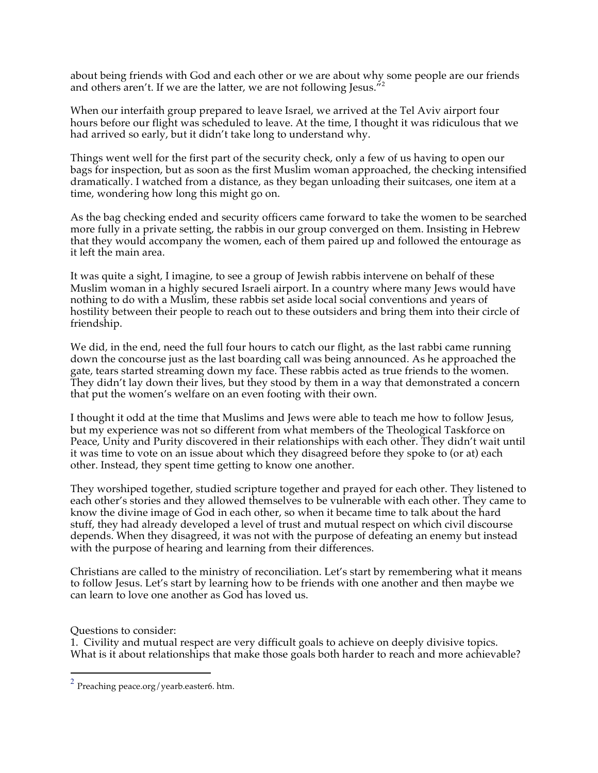about being friends with God and each other or we are about why some people are our friends and others aren't. If we are the latter, we are not following Jesus. $^{72}$ 

When our interfaith group prepared to leave Israel, we arrived at the Tel Aviv airport four hours before our flight was scheduled to leave. At the time, I thought it was ridiculous that we had arrived so early, but it didn't take long to understand why.

Things went well for the first part of the security check, only a few of us having to open our bags for inspection, but as soon as the first Muslim woman approached, the checking intensified dramatically. I watched from a distance, as they began unloading their suitcases, one item at a time, wondering how long this might go on.

As the bag checking ended and security officers came forward to take the women to be searched more fully in a private setting, the rabbis in our group converged on them. Insisting in Hebrew that they would accompany the women, each of them paired up and followed the entourage as it left the main area.

It was quite a sight, I imagine, to see a group of Jewish rabbis intervene on behalf of these Muslim woman in a highly secured Israeli airport. In a country where many Jews would have nothing to do with a Muslim, these rabbis set aside local social conventions and years of hostility between their people to reach out to these outsiders and bring them into their circle of friendship.

We did, in the end, need the full four hours to catch our flight, as the last rabbi came running down the concourse just as the last boarding call was being announced. As he approached the gate, tears started streaming down my face. These rabbis acted as true friends to the women. They didn't lay down their lives, but they stood by them in a way that demonstrated a concern that put the women's welfare on an even footing with their own.

I thought it odd at the time that Muslims and Jews were able to teach me how to follow Jesus, but my experience was not so different from what members of the Theological Taskforce on Peace, Unity and Purity discovered in their relationships with each other. They didn't wait until it was time to vote on an issue about which they disagreed before they spoke to (or at) each other. Instead, they spent time getting to know one another.

They worshiped together, studied scripture together and prayed for each other. They listened to each other's stories and they allowed themselves to be vulnerable with each other. They came to know the divine image of God in each other, so when it became time to talk about the hard stuff, they had already developed a level of trust and mutual respect on which civil discourse depends. When they disagreed, it was not with the purpose of defeating an enemy but instead with the purpose of hearing and learning from their differences.

Christians are called to the ministry of reconciliation. Let's start by remembering what it means to follow Jesus. Let's start by learning how to be friends with one another and then maybe we can learn to love one another as God has loved us.

Questions to consider:

1. Civility and mutual respect are very difficult goals to achieve on deeply divisive topics. What is it about relationships that make those goals both harder to reach and more achievable?

 $^2$  Preaching peace.org/yearb.easter6. htm.